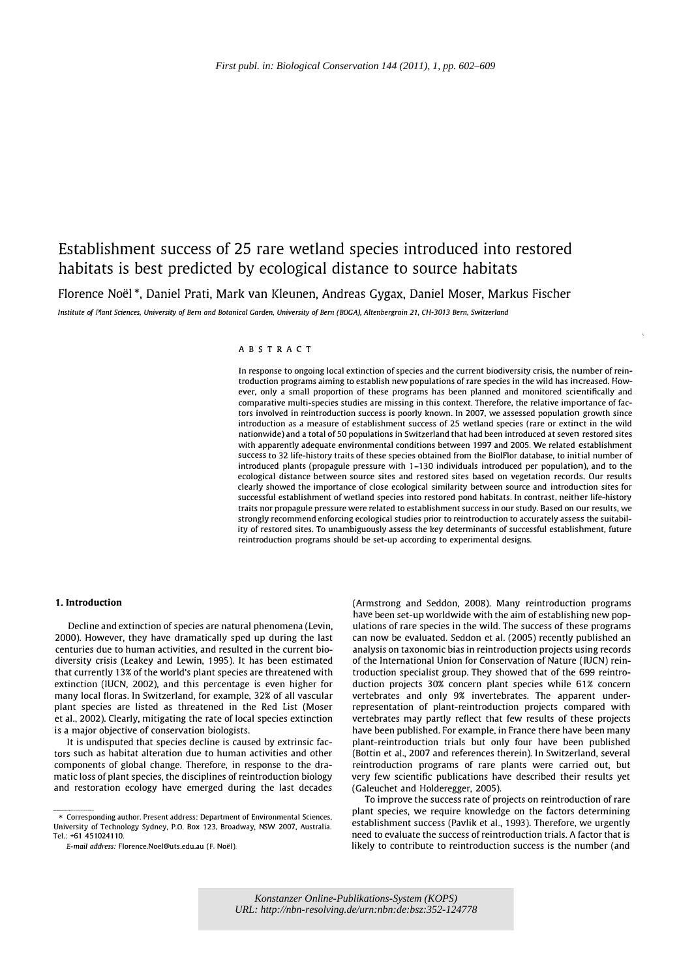# Establishment success of 25 rare wetland species introduced into restored habitats is best predicted by ecological distance to source habitats

Florence Noel \*, Daniel Prati, Mark van Kleunen, Andreas Gygax, Daniel Moser, Markus Fischer

Institute of Plant Sdences, University of Bem and Botanical Garden, University of Bem (BOGA), Altenbergrain 21, CH-3013 Bem, Switzerland

# ABSTRACT

In response to ongoing local extinction of species and the current biodiversity crisis, the number of reintroduction programs aiming to establish new populations of rare species in the wild has increased, However, only a small proportion of these programs has been planned and monitored scientifically and comparative multi-species studies are missing in this context. Therefore, the relative importance of factors involved in reintroduction success is poorly known. In 2007, we assessed population growth since introduction as a measure of establishment success of 25 wetland species (rare or extinct in the wild nationwide) and a total of 50 populations in Switzerland that had been introduced at seven restored sites with apparently adequate environmental conditions between 1997 and 2005. We related establishment success to 32 life-history traits of these species obtained from the BiolFlor database, to initial number of introduced plants (propagule pressure with 1-130 individuals introduced per population), and to the ecological distance between source sites and restored sites based on vegetation records. Our results clearly showed the importance of close ecological similarity between source and introduction sites for successful establishment of wetland species into restored pond habitats. In contrast, neither life-history traits nor propagule pressure were related to establishment success in our study. Based on our results, we strongly recommend enforcing ecological studies prior to reintroduction to accurately assess the suitability of restored sites, To unambiguously assess the key determinants of successful establishment, future reintroduction programs should be set-up according to experimental designs.

# 1. Introduction

Decline and extinction of species are natural phenomena (Levin, 2000). However, they have dramatically sped up during the last centuries due to human activities, and resulted in the current biodiversity crisis (Leakey and Lewin, 1995). It has been estimated that currently 13% of the world's plant species are threatened with extinction (IUCN, 2002), and this percentage is even higher for many local floras. In Switzerland, for example, 32% of all vascular plant species are listed as threatened in the Red List (Moser et aI., 2002). Clearly, mitigating the rate of local species extinction is a major objective of conservation biologists.

It is undisputed that species decline is caused by extrinsic factors such as habitat alteration due to human activities and other components of global change. Therefore, in response to the dramatic loss of plant species, the disciplines of reintroduction biology and restoration ecology have emerged during the last decades (Armstrong and Seddon, 2008). Many reintroduction programs have been set-up worldwide with the aim of establishing new populations of rare species in the wild. The success of these programs can now be evaluated. Seddon et al. (2005) recently published an analysis on taxonomic bias in reintroduction projects using records of the International Union for Conservation of Nature (IUCN) reintroduction specialist group. They showed that of the 699 reintroduction projects 30% concern plant species while 61% concern vertebrates and only 9% invertebrates. The apparent underrepresentation of plant-reintroduction projects compared with vertebrates may partly reflect that few results of these projects have been published. For example, in France there have been many plant-reintroduction trials but only four have been published (Bottin et aI., 2007 and references therein). In Switzerland, several reintroduction programs of rare plants were carried out, but very few scientific publications have described their results yet (Galeuchet and Holderegger, 2005).

To improve the success rate of projects on reintroduction of rare plant species, we require knowledge on the factors determining establishment success (Pavlik et aI., 1993). Therefore, we urgently need to evaluate the success of reintroduction trials. A factor that is likely to contribute to reintroduction success is the number (and

<sup>\*</sup> Corresponding author. Present address: Department of Environmental Sciences, University of Technology Sydney, P.O. Box 123, Broadway, NSW 2007, Australia. Tel.: +61 451024110.

E-mail address: Florence.Noel@uts.edu.au (F. Noël).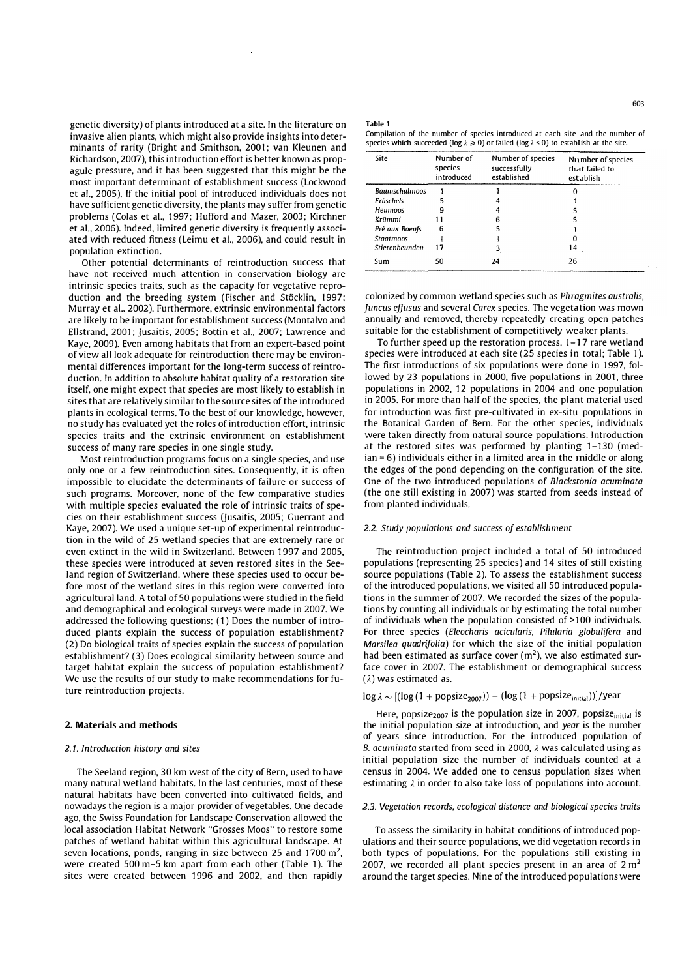genetic diversity) of plants introduced at a site. In the literature on invasive alien plants, which might also provide insights into determinants of rarity (Bright and Smithson, 2001; van Kleunen and Richardson, 2007), this introduction effort is better known as propagule pressure, and it has been suggested that this might be the most important determinant of establishment success (Lockwood et aI., 2005). If the initial pool of introduced individuals does not have sufficient genetic diversity, the plants may suffer from genetic problems (Colas et aI., 1997; Hufford and Mazer, 2003; Kirchner et aI., 2006). Indeed, limited genetic diversity is frequently associated with reduced fitness (Leimu et aI., 2006), and could result in population extinction.

Other potential determinants of reintroduction success that have not received much attention in conservation biology are intrinsic species traits, such as the capacity for vegetative reproduction and the breeding system (Fischer and Stöcklin, 1997; Murray et al., 2002). Furthermore, extrinsic environmental factors are likely to be important for establishment success (Montalvo and Ellstrand, 2001; Jusaitis, 2005; Bottin et al., 2007; Lawrence and Kaye, 2009). Even among habitats that from an expert-based point of view all look adequate for reintroduction there may be environmental differences important for the long-term success of reintroduction. In addition to absolute habitat quality of a restoration site itself, one might expect that species are most likely to establish in sites that are relatively similar to the source sites of the introduced plants in ecological terms. To the best of our knowledge, however, no study has evaluated yet the roles of introduction effort, intrinsic species traits and the extrinsic environment on establishment success of many rare species in one single study.

Most reintroduction programs focus on a single species, and use only one or a few reintroduction sites. Consequently, it is often impossible to elucidate the determinants of failure or success of such programs. Moreover, none of the few comparative studies with multiple species evaluated the role of intrinsic traits of species on their establishment success (Jusaitis, 2005; Guerrant and Kaye, 2007). We used a unique set-up of experimental reintroduction in the wild of 25 wetland species that are extremely rare or even extinct in the wild in Switzerland. Between 1997 and 2005, these species were introduced at seven restored sites in the Seeland region of Switzerland, where these species used to occur before most of the wetland sites in this region were converted into agricultural land. A total of 50 populations were studied in the field and demographical and ecological surveys were made in 2007. We addressed the following questions: (1) Does the number of introduced plants explain the success of population establishment? (2) Do biological traits of species explain the success of population establishment? (3) Does ecological similarity between source and target habitat explain the success of population establishment? We use the results of our study to make recommendations for future reintroduction projects.

#### 2. Materials and methods

## 2.1. Introduction history and sites

The Seeland region, 30 km west of the city of Bern, used to have many natural wetland habitats. In the last centuries, most of these natural habitats have been converted into cultivated fields, and nowadays the region is a major provider of vegetables. One decade ago, the Swiss Foundation for Landscape Conservation allowed the local association Habitat Network "Grosses Moos" to restore some patches of wetland habitat within this agricultural landscape. At seven locations, ponds, ranging in size between 25 and 1700  $m<sup>2</sup>$ , were created 500 m-5 km apart from each other (Table 1). The sites were created between 1996 and 2002, and then rapidly

#### Table 1

| Compilation of the number of species introduced at each site and the number of                            |
|-----------------------------------------------------------------------------------------------------------|
| species which succeeded (log $\lambda \ge 0$ ) or failed (log $\lambda \le 0$ ) to establish at the site. |

| Site                 | Number of<br>species<br>introduced | Number of species<br>successfully<br>established | Number of species<br>that failed to<br>establish |
|----------------------|------------------------------------|--------------------------------------------------|--------------------------------------------------|
| <b>Baumschulmoos</b> |                                    |                                                  |                                                  |
| Fräschels            | 5                                  |                                                  |                                                  |
| <b>Heumoos</b>       | 9                                  |                                                  |                                                  |
| Krümmi               | 11                                 |                                                  |                                                  |
| Pré aux Boeufs       | 6                                  |                                                  |                                                  |
| Staatmoos            |                                    |                                                  |                                                  |
| Stierenbeunden       | 17                                 |                                                  | 14                                               |
| Sum                  | 50                                 | 24                                               | 26                                               |
|                      |                                    |                                                  |                                                  |

colonized by common wetland species such as Phragmites australis, Juncus effusus and several Carex species. The vegetation was mown annually and removed, thereby repeatedly creating open patches suitable for the establishment of competitively weaker plants.

To further speed up the restoration process, 1-17 rare wetland species were introduced at each site (25 species in total; Table 1). The first introductions of six populations were done in 1997, followed by 23 populations in 2000, five populations in 2001, three populations in 2002, 12 populations in 2004 and one population in 2005. For more than half of the species, the plant material used for introduction was first pre-cultivated in ex-situ populations in the Botanical Garden of Bern. For the other species, individuals were taken directly from natural source populations. Introduction at the restored sites was performed by planting 1-130 (median = 6) individuals either in a limited area in the middle or along the edges of the pond depending on the configuration of the site. One of the two introduced populations of Blackstonia acuminata (the one still existing in 2007) was started from seeds instead of from planted individuals.

# 2.2. Study populations and success of establishment

The reintroduction project included a total of 50 introduced populations (representing 25 species) and 14 sites of still existing source populations (Table 2). To assess the establishment success of the introduced populations, we visited ail 50 introduced populations in the summer of 2007. We recorded the sizes of the populations by counting all individuals or by estimating the total number of individuals when the population consisted of> 100 individuals. For three species (Eleocharis acicularis, Pilularia globulifera and Marsilea quadrifolia) for which the size of the initial population had been estimated as surface cover  $(m^2)$ , we also estimated surface cover in 2007. The establishment or demographical success  $(\lambda)$  was estimated as.

 $\log \lambda \sim [(\log (1 + \text{popsize}_{2007})) - (\log (1 + \text{popsize}_{initial}))]/\text{year}$ 

Here, popsize<sub>2007</sub> is the population size in 2007, popsize<sub>initial</sub> is  $\frac{1}{2}$ the initial population size at introduction, and year is the number of years since introduction. For the introduced population of B. acuminata started from seed in 2000,  $\lambda$  was calculated using as initial population size the number of individuals counted at a census in 2004. We added one to census population sizes when estimating  $\lambda$  in order to also take loss of populations into account.

# 2.3. Vegetation records, ecological distance and biological species traits

To assess the similarity in habitat conditions of introduced popuiations and their source populations, we did vegetation records in both types of popuiations. For the populations still existing in 2007, we recorded all plant species present in an area of  $2 m<sup>2</sup>$ around the target species. Nine of the introduced popuiations were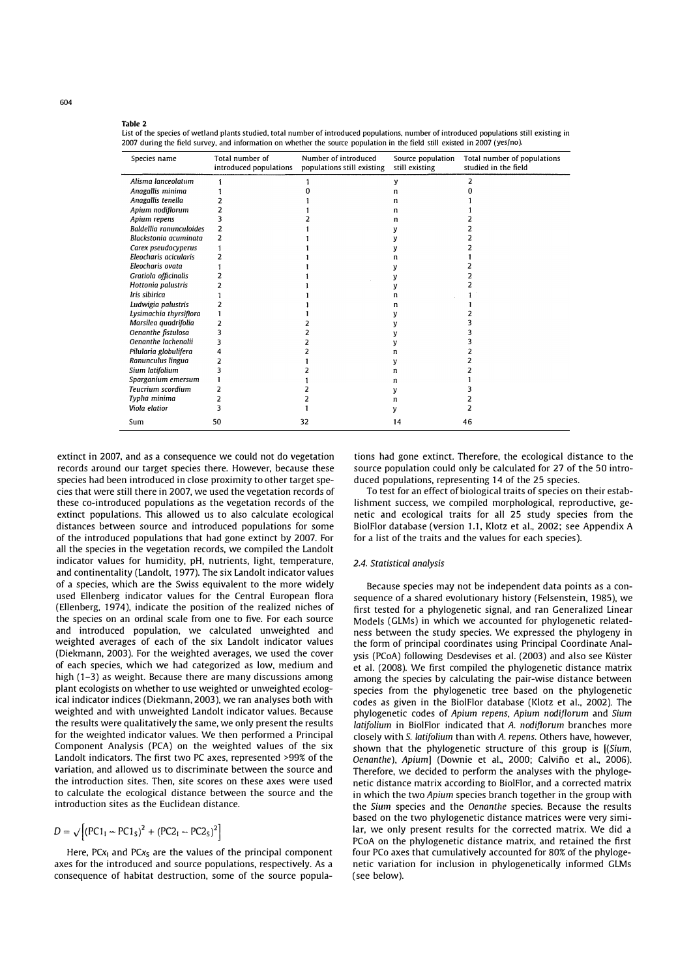#### Table <sup>2</sup>

List of the species of wetland plants studied. total number of introduced populations. number of introduced populations still existing in 2007 during the field survey. and information on whether the source population in the field still existed in 2007 (yes/no).

| Species name                   | Total number of<br>introduced populations | Number of introduced<br>populations still existing | Source population<br>still existing | Total number of populations<br>studied in the field |
|--------------------------------|-------------------------------------------|----------------------------------------------------|-------------------------------------|-----------------------------------------------------|
| Alisma lanceolatum             |                                           |                                                    | У                                   | 2                                                   |
| Anagallis minima               |                                           |                                                    | n                                   |                                                     |
| Anagallis tenella              |                                           |                                                    | n                                   |                                                     |
| Apium nodiflorum               |                                           |                                                    | n                                   |                                                     |
| Apium repens                   |                                           |                                                    | n                                   |                                                     |
| <b>Baldellia ranunculoides</b> | $\overline{\phantom{a}}$                  |                                                    |                                     |                                                     |
| Blackstonia acuminata          | 2                                         |                                                    |                                     |                                                     |
| Carex pseudocyperus            |                                           |                                                    |                                     |                                                     |
| Eleocharis acicularis          | 7                                         |                                                    |                                     |                                                     |
| Eleocharis ovata               |                                           |                                                    |                                     |                                                     |
| Gratiola officinalis           |                                           |                                                    |                                     |                                                     |
| Hottonia palustris             |                                           |                                                    |                                     |                                                     |
| Iris sibirica                  |                                           |                                                    | n                                   |                                                     |
| Ludwigia palustris             |                                           |                                                    | n                                   |                                                     |
| Lysimachia thyrsiflora         |                                           |                                                    |                                     |                                                     |
| Marsilea quadrifolia           | 2                                         |                                                    |                                     |                                                     |
| Oenanthe fistulosa             |                                           |                                                    |                                     |                                                     |
| Oenanthe lachenalii            |                                           |                                                    |                                     |                                                     |
| Pilularia globulifera          |                                           |                                                    | n                                   |                                                     |
| Ranunculus lingua              |                                           |                                                    |                                     |                                                     |
| Sium latifolium                |                                           |                                                    | n                                   |                                                     |
| Sparganium emersum             |                                           |                                                    | n                                   |                                                     |
| Teucrium scordium              | 2                                         |                                                    |                                     |                                                     |
| Typha minima                   | 2                                         |                                                    | n                                   |                                                     |
| Viola elatior                  |                                           |                                                    |                                     |                                                     |
| Sum                            | 50                                        | 32                                                 | 14                                  | 46                                                  |

extinct in 2007. and as a consequence we could not do vegetation records around our target species there. However. because these species had been introduced in close proximity to other target species that were still there in 2007, we used the vegetation records of these co-introduced populations as the vegetation records of the extinct populations. This allowed us to also calculate ecological distances between source and introduced populations for some of the introduced populations that had gone extinct by 2007. For all the species in the vegetation records. we compiled the Landolt indicator values for humidity. pH. nutrients. light. temperature. and continentality (Landolt. 1977). The six Landolt indicator values of a species. which are the Swiss equivalent to the more widely used Ellenberg indicator values for the Central European flora (Ellenberg. 1974), indicate the position of the realized niches of the species on an ordinal scale from one to five. For each source and introduced population, we calculated unweighted and weighted averages of each of the six Landolt indicator values (Diekmann. 2003). For the weighted averages. we used the cover of each species, which we had categorized as low. medium and high (1-3) as weight. Because there are many discussions among plant ecologists on whether to use weighted or unweighted ecological indicator indices (Diekmann, 2003). we ran analyses both with weighted and with unweighted Landolt indicator values. Because the results were qualitatively the same. we only present the results for the weighted indicator values. We then performed a Principal Component Analysis (PCA) on the weighted values of the six Landolt indicators. The first two PC axes, represented >99% of the variation. and allowed us to discriminate between the source and the introduction sites. Then. site scores on these axes were used to calculate the ecological distance between the source and the introduction sites as the Euclidean distance.

$$
D = \sqrt{ (PC1_1 - PC1_5)^2 + (PC2_1 - PC2_5)^2 }
$$

Here,  $PCx_1$  and  $PCx_5$  are the values of the principal component axes for the introduced and source populations. respectively. As a consequence of habitat destruction. some of the source populations had gone extinct. Therefore. the ecological distance to the source population could only be calculated for 27 of the 50 introduced populations. representing 14 of the 25 species.

To test for an effect of biological traits of species on their establishment success. we compiled morphological. reproductive. genetic and ecological traits for all 25 study species from the BiolFlor database (version 1.1. Klotz et aI., 2002; see Appendix A for a list of the traits and the values for each species).

## 2.4. Statistical analysis

Because species may not be independent data points as a consequence of a shared evolutionary history (Felsenstein. 1985). we first tested for a phylogenetic signal. and ran Generalized Linear Models (GLMs) in which we accounted for phylogenetic relatedness between the study species. We expressed the phylogeny in the form of principal coordinates using Principal Coordinate Analysis (PCoA) following Desdevises et al. (2003) and also see Kiister et al. (2008). We first compiled the phylogenetic distance matrix among the species by calculating the pair-wise distance between species from the phylogenetic tree based on the phylogenetic codes as given in the BiolFlor database (Klotz et aI., 2002). The phylogenetic codes of Apium repens. Apium nodiflorum and Sium latifolium in BiolFlor indicated that A. nodiflorum branches more closely with S. latifolium than with A. repens. Others have, however, shown that the phylogenetic structure of this group is [(Sium, Oenanthe), Apium] (Downie et al., 2000; Calviño et al., 2006). Therefore. we decided to perform the analyses with the phylogenetic distance matrix according to BiolFlor, and a corrected matrix in which the two Apium species branch together in the group with the Sium species and the Oenanthe species. Because the results based on the two phylogenetic distance matrices were very similar. we only present results for the corrected matrix. We did a PCoA on the phylogenetic distance matrix, and retained the first four PCo axes that cumulatively accounted for 80% of the phylogenetic variation for inclusion in phylogenetically informed GLMs (see below).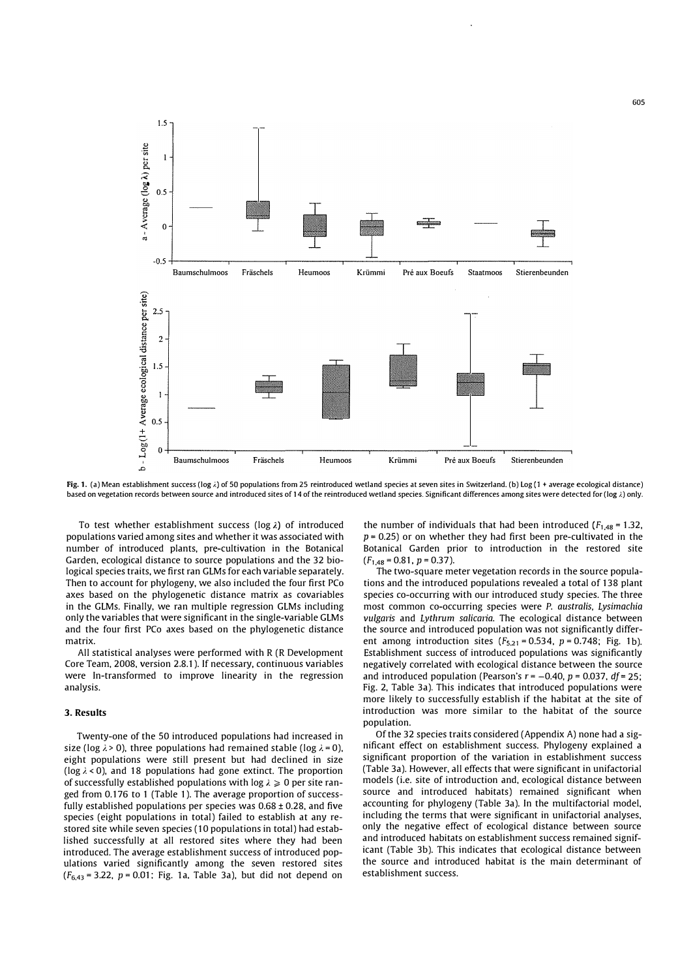

Fig. 1. (a) Mean establishment success (log i) of 50 populations from 25 reintroduced wetland species at seven sites in Switzerland. (b) Log (1 + average ecological distance) based on vegetation records between source and introduced sites of 14 of the reintroduced wetland species. Significant differences among sites were detected for (log  $\lambda$ ) only.

To test whether establishment success (log  $\lambda$ ) of introduced populations varied among sites and whether it was associated with number of introduced plants, pre-cultivation in the Botanical Garden, ecological distance to source populations and the 32 biological species traits, we first ran GLMs for each variable separately. Then to account for phylogeny, we also included the four first PCo axes based on the phylogenetic distance matrix as covariables in the GLMs. Finally, we ran multiple regression GLMs including only the variables that were significant in the single-variable GLMs and the four first PCo axes based on the phylogenetic distance matrix.

All statistical analyses were performed with R (R Development Core Team, 2008, version 2.8.1 ). If necessary, continuous variables were In-transformed to improve linearity in the regression analysis.

# 3. Results

Twenty-one of the 50 introduced populations had increased in size (log  $\lambda$  > 0), three populations had remained stable (log  $\lambda$  = 0), eight populations were still present but had declined in size ( $log \lambda < 0$ ), and 18 populations had gone extinct. The proportion of successfully established populations with  $\log \lambda \geqslant 0$  per site ranged from 0.176 to 1 (Table 1). The average proportion of successfully established populations per species was  $0.68 \pm 0.28$ , and five species (eight populations in total) failed to establish at any restored site while seven species (10 populations in total) had established successfully at all restored sites where they had been introduced. The average establishment success of introduced populations varied significantly among the seven restored sites  $(F_{6,43} = 3.22, p = 0.01$ ; Fig. 1a, Table 3a), but did not depend on

the number of individuals that had been introduced  $(F<sub>1,48</sub> = 1.32)$ ,  $p = 0.25$ ) or on whether they had first been pre-cultivated in the Botanical Garden prior to introduction in the restored site  $(F<sub>1,48</sub> = 0.81, p = 0.37).$ 

The two-square meter vegetation records in the source populations and the introduced populations revealed a total of 138 plant species co-occurring with our introduced study species. The three most common co-occurring species were P. australis, Lysimachia vulgaris and Lythrum salicaria. The ecological distance between the source and introduced population was not significantly different among introduction sites  $(F_{5,21} = 0.534, p = 0.748;$  Fig. 1b). Establishment success of introduced populations was significantly negatively correlated with ecological distance between the source and introduced population (Pearson's  $r = -0.40$ ,  $p = 0.037$ ,  $df = 25$ ; Fig. 2, Table 3a). This indicates that introduced populations were more likely to successfully establish if the habitat at the site of introduction was more similar to the habitat of the source population.

Of the 32 species traits considered (Appendix A) none had a significant effect on establishment success. Phylogeny explained a significant proportion of the variation in establishment success (Table 3a). However, all effects that were significant in unifactorial models (i.e. site of introduction and, ecological distance between source and introduced habitats) remained significant when accounting for phylogeny (Table 3a). In the multifactorial model, including the terms that were significant in unifactorial analyses, only the negative effect of ecological distance between source and introduced habitats on establishment success remained significant (Table 3b). This indicates that ecological distance between the source and introduced habitat is the main determinant of establishment success.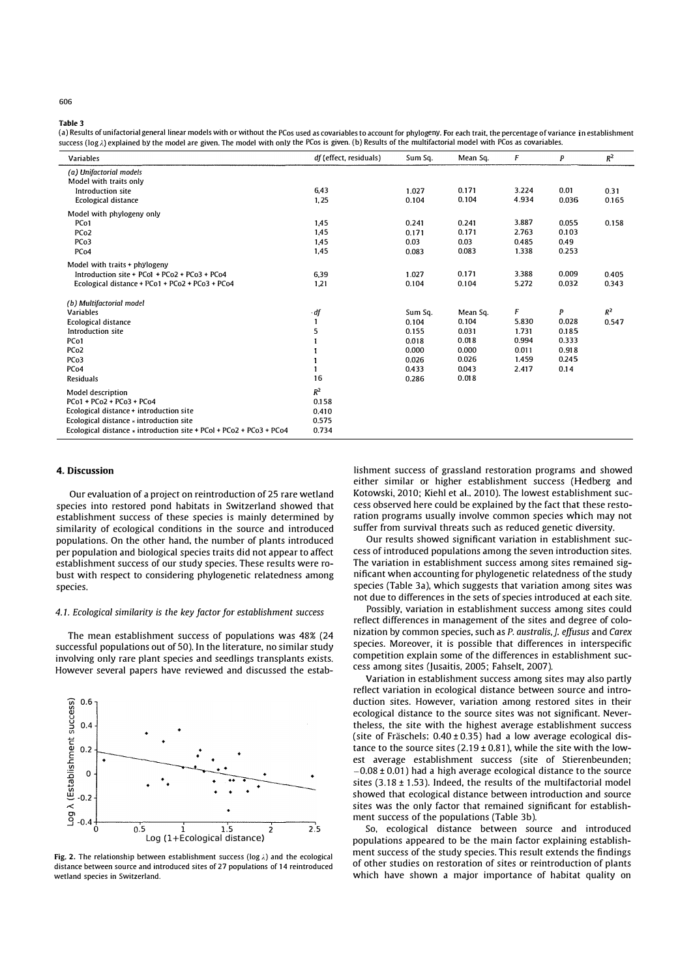606

Table 3

(a) Results of unifactorial general linear models with or without the pros used as covariables to account for phylogeny. For each trait, the percentage of variance in establishment success (log  $\lambda$ ) explained by the model are given. The model with only the PCos is given. (b) Results of the multifactorial model with PCos as covariables.

| <b>Variables</b>                                                                       | df (effect, residuals)<br>Sum Sq. | Mean Sq. | F     | P     | $R^2$          |
|----------------------------------------------------------------------------------------|-----------------------------------|----------|-------|-------|----------------|
| (a) Unifactorial models<br>Model with traits only                                      |                                   |          |       |       |                |
| 6,43<br>Introduction site                                                              | 1.027                             | 0.171    | 3.224 | 0.01  | 0.31           |
| 1,25<br>Ecological distance                                                            | 0.104                             | 0.104    | 4.934 | 0.036 | 0.165          |
| Model with phylogeny only                                                              |                                   |          |       |       |                |
| PCo1<br>1,45                                                                           | 0.241                             | 0.241    | 3.887 | 0.055 | 0.158          |
| 1,45<br>PCo <sub>2</sub>                                                               | 0.171                             | 0.171    | 2.763 | 0.103 |                |
| 1,45<br>PC <sub>o</sub> 3                                                              | 0.03                              | 0.03     | 0.485 | 0.49  |                |
| PC <sub>o4</sub><br>1,45                                                               | 0.083                             | 0.083    | 1.338 | 0.253 |                |
| Model with traits + phylogeny                                                          |                                   |          |       |       |                |
| Introduction site + $PCo1 + PCo2 + PCo3 + PCo4$<br>6,39                                | 1.027                             | 0.171    | 3.388 | 0.009 | 0.405          |
| Ecological distance + PCo1 + PCo2 + PCo3 + PCo4<br>1,21                                | 0.104                             | 0.104    | 5.272 | 0.032 | 0.343          |
| (b) Multifactorial model                                                               |                                   |          |       |       |                |
| . df<br><b>Variables</b>                                                               | Sum Sq.                           | Mean Sq. | F     | p     | R <sup>2</sup> |
| Ecological distance                                                                    | 0.104                             | 0.104    | 5.830 | 0.028 | 0.547          |
| Introduction site<br>5                                                                 | 0.155                             | 0.031    | 1.731 | 0.185 |                |
| PCo1                                                                                   | 0.018                             | 0.018    | 0.994 | 0.333 |                |
| PCo <sub>2</sub>                                                                       | 0.000                             | 0.000    | 0.011 | 0.918 |                |
| PCo3                                                                                   | 0.026                             | 0.026    | 1.459 | 0.245 |                |
| PC <sub>04</sub>                                                                       | 0.433                             | 0.043    | 2.417 | 0.14  |                |
| <b>Residuals</b><br>16                                                                 | 0.286                             | 0.018    |       |       |                |
| $R^2$<br>Model description                                                             |                                   |          |       |       |                |
| $PCo1 + PCo2 + PCo3 + PCo4$<br>0.158                                                   |                                   |          |       |       |                |
| 0.410<br>Ecological distance + introduction site                                       |                                   |          |       |       |                |
| 0.575<br>Ecological distance $*$ introduction site                                     |                                   |          |       |       |                |
| Ecological distance $*$ introduction site $+$ PCol $+$ PCo2 $+$ PCo3 $+$ PCo4<br>0.734 |                                   |          |       |       |                |

### 4. Discussion

Our evaluation of a project on reintroduction of 25 rare wetland species into restored pond habitats in Switzerland showed that establishment success of these species is mainly determined by similarity of ecological conditions in the source and introduced populations. On the other hand. the number of plants introduced per population and biological species traits did not appear to affect establishment success of our study species. These results were robust with respect to considering phylogenetic relatedness among species.

#### 4.1. Ecological similarity is the key factor for establishment success

The mean establishment success of populations was 48% (24 successful populations out of 50). In the literature. no similar study involving only rare plant species and seedlings transplants exists. However several papers have reviewed and discussed the estab-



Fig. 2. The relationship between establishment success (log  $\lambda$ ) and the ecological distance between source and introduced sites of 27 populations of 14 reintroduced wetland species in Switzerland.

lishment success of grassland restoration programs and showed either similar or higher establishment success (Hedberg and Kotowski, 2010; Kiehl et al., 2010). The lowest establishment success observed here could be explained by the fact that these restoration programs usually involve common species which may not suffer from survival threats such as reduced genetic diversity.

Our results showed significant variation in establishment success of introduced populations among the seven introduction sites. The variation in establishment success among sites remained significant when accounting for phylogenetic relatedness of the study species (Table 3a). which suggests that variation among sites was not due to differences in the sets of species introduced at each site.

Possibly. variation in establishment success among sites could reflect differences in management of the sites and degree of colonization by common species, such as P. australis, J. effusus and Carex species. Moreover. it is possible that differences in interspecific competition explain some of the differences in establishment success among sites (Jusaitis, 2005; Fahselt, 2007).

Variation in establishment success among sites may also partly reflect variation in ecological distance between source and introduction sites. However, variation among restored sites in their ecological distance to the source sites was not significant. Nevertheless, the site with the highest average establishment success (site of Fräschels;  $0.40 \pm 0.35$ ) had a low average ecological distance to the source sites (2.19  $\pm$  0.81), while the site with the lowest average establishment success (site of Stierenbeunden;  $-0.08 \pm 0.01$ ) had a high average ecological distance to the source sites (3.18  $\pm$  1.53). Indeed, the results of the multifactorial model showed that ecological distance between introduction and source sites was the only factor that remained significant for establishment success of the populations (Table 3b).

So, ecological distance between source and introduced populations appeared to be the main factor explaining establishment success of the study species. This result extends the findings of other studies on restoration of sites or reintroduction of plants which have shown a major importance of habitat quality on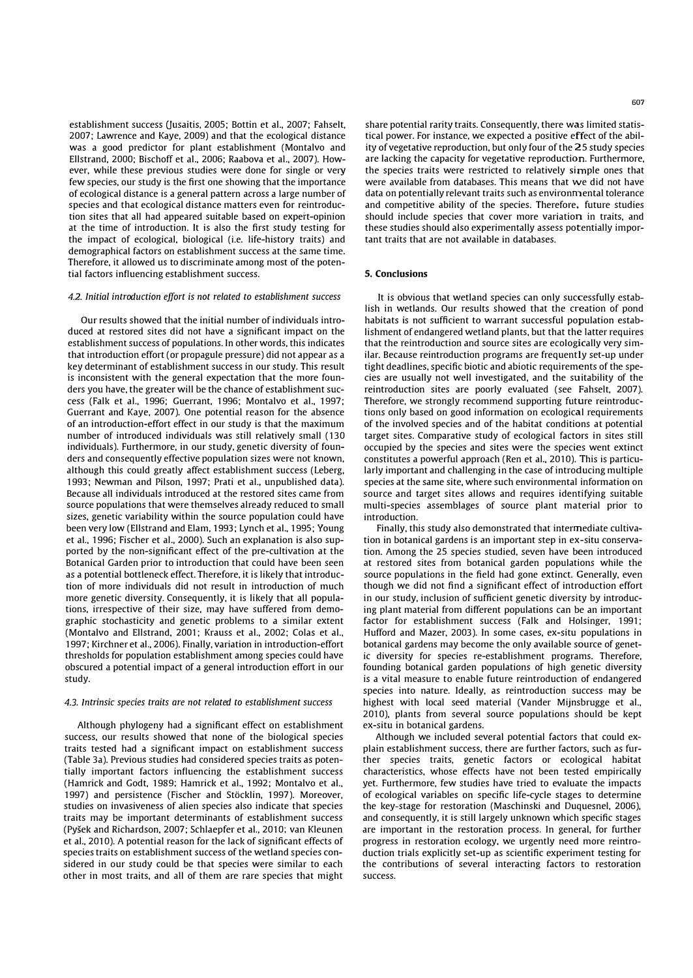establishment success (Jusaitis, 2005; Bottin et al., 2007; Fahselt. 2007; Lawrence and Kaye. 2009) and that the ecological distance was a good predictor for plant establishment (Montalvo and Ellstrand, 2000; Bischoff et al., 2006; Raabova et al., 2007). However, while these previous studies were done for single or very few species. our study is the first one showing that the importance of ecological distance is a general pattern across a large number of species and that ecological distance matters even for reintroduction sites that all had appeared suitable based on expert-opinion at the time of introduction. It is also the first study testing for the impact of ecological, biological (i.e. life-history traits) and demographical factors on establishment success at the same time. Therefore. it allowed us to discriminate among most of the potential factors influencing establishment success.

# 4.2. Initial introduction effort is not related to establishment success

Our results showed that the initial number of individuals introduced at restored sites did not have a significant impact on the establishment success of populations. In other words. this indicates that introduction effort (or propagule pressure) did not appear as a key determinant of establishment success in our study. This result is inconsistent with the general expectation that the more founders you have. the greater will be the chance of establishment success (Falk et al.. 1996; Guerrant. 1996; Montalvo et al.. 1997; Guerrant and Kaye. 2007). One potential reason for the absence of an introduction-effort effect in our study is that the maximum number of introduced individuals was still relatively small (130 individuals). Furthermore. in our study. genetic diversity of founders and consequently effective population sizes were not known. although this could greatly affect establishment success (Leberg. 1993; Newman and Pilson, 1997; Prati et al., unpublished data). Because all individuals introduced at the restored sites came from source populations that were themselves already reduced to small sizes. genetic variability within the source population could have been very low (Ellstrand and Elam. 1993; Lynch et al.. 1995; Young et al.. 1996; Fischer et al.. 2000). Such an explanation is also supported by the non-significant effect of the pre-cultivation at the Botanical Garden prior to introduction that could have been seen as a potential bottleneck effect. Therefore. it is likely that introduction of more individuals did not result in introduction of much more genetic diversity. Consequently. it is likely that all populations. irrespective of their size. may have suffered from demographic stochasticity and genetic problems to a similar extent (Montalvo and Ellstrand, 2001; Krauss et al., 2002; Colas et al., 1997; Kirchner et al.. 2006). Finally. variation in introduction-effort thresholds for population establishment among species could have obscured a potential impact of a general introduction effort in our study.

## 4.3. Intrinsic species traits are not related to establishment success

Although phylogeny had a significant effect on establishment success. our results showed that none of the biological species traits tested had a significant impact on establishment success (Table 3a). Previous studies had considered species traits as potentially important factors influencing the establishment success (Hamrick and Godt. 1989; Hamrick et al.. 1992; Montalvo et al.. 1997) and persistence (Fischer and Stöcklin, 1997). Moreover, studies on invasiveness of alien species also indicate that species traits may be important determinants of establishment success (Pysek and Richardson. 2007; Schlaepfer et al., 2010; van Kleunen et al.. 2010). A potential reason for the lack of significant effects of species traits on establishment success of the wetland species considered in our study could be that species were similar to each other in most traits. and all of them are rare species that might

607

share potential rarity traits. Consequently, there was limited statistical power. For instance. we expected a positive effect of the ability of vegetative reproduction. but only four of the 25 study species are lacking the capacity for vegetative reproduction. Furthermore, the species traits were restricted to relatively simple ones that were available from databases. This means that We did not have data on potentially relevant traits such as environmental tolerance and competitive ability of the species. Therefore. future studies should include species that cover more variation in traits. and these studies should also experimentally assess potentially important traits that are not available in databases.

# 5. Conclusions

It is obvious that wetland species can only successfully establish in wetlands. Our results showed that the creation of pond habitats is not sufficient to warrant successful population establishment of endangered wetland plants. but that the latter requires that the reintroduction and source sites are ecologically very similar. Because reintroduction programs are frequently set-up under tight deadlines. specific biotic and abiotic requirements of the species are usually not well investigated. and the suitability of the reintroduction sites are poorly evaluated (see Fahselt. 2007). Therefore. we strongly recommend supporting future reintroductions only based on good information on ecological requirements of the involved species and of the habitat conditions at potential target sites. Comparative study of ecological factors in sites still occupied by the species and sites were the species went extinct constitutes a powerful approach (Ren et al.. 2010). This is particularly important and challenging in the case of introducing multiple species at the same site. where such environmental information on source and target sites allows and requires identifying suitable multi-species assemblages of source plant material prior to introduction.

Finally. this study also demonstrated that intermediate cultivation in botanical gardens is an important step in ex-situ conservation. Among the 25 species studied. seven have been introduced at restored sites from botanical garden populations while the source populations in the field had gone extinct. Generally. even though we did not find a significant effect of introduction effort in our study. inclusion of sufficient genetic diversity by introducing plant material from different populations can be an important factor for establishment success (Falk and Holsinger. 1991; Hufford and Mazer. 2003). In some cases. ex-situ populations in botanical gardens may become the only available source of genetic diversity for species re-establishment programs. Therefore. founding botanical garden populations of high genetic diversity is a vital measure to enable future reintroduction of endangered species into nature. Ideally. as reintroduction success may be highest with local seed material (Vander Mijnsbrugge et al.. 2010). plants from several source populations should be kept ex-situ in botanical gardens.

Although we included several potential factors that could explain establishment success. there are further factors. such as further species traits. genetic factors or ecological habitat characteristics. whose effects have not been tested empirically yet. Furthermore. few studies have tried to evaluate the impacts of ecological variables on specific life-cycle stages to determine the key-stage for restoration (Maschinski and Duquesnel. 2006). and consequently. it is still largely unknown which specific stages are important in the restoration process. In general. for further progress in restoration ecology. we urgently need more reintroduction trials explicitly set-up as scientific experiment testing for the contributions of several interacting factors to restoration success.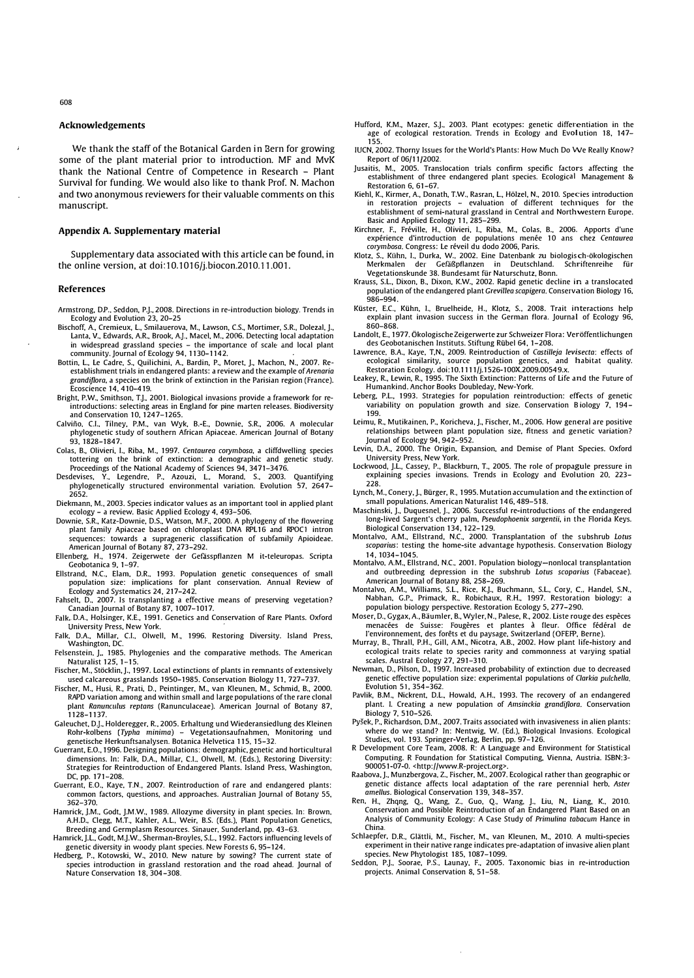Acknowledgements

We thank the staff of the Botanical Garden in Bern for growing some of the plant material prior to introduction. MF and MvK thank the National Centre of Competence in Research - Plant Survival for funding. We would also like to thank Prof. N. Machon and two anonymous reviewers for their valuable comments on this manuscript.

## Appendix A. Supplementary material

Supplementary data associated with this article can be found, in the online version, at doi: 10.1016/*i*.biocon.2010.11.001.

#### References

Armstrong, D.P., Seddon, P.J., 2008. Directions in re-introduction biology. Trends in Ecology and Evolution 23, 20-25

- Bischoff, A., Cremieux, L., Smilauerova, M., Lawson, C.S., Mortimer, S.R., Dolezal, I., Lanta, V., Edwards, A.K., Brook, A.J., Macel, M., 2006. Detecting local adaptation<br>in widespread grassland species – the importance of scale and local plant<br>community. Journal of Ecology 94, 1130–1142.<br>Bottin, L., Le Cadre
- establishment trials in endangered plants: a review and the example of Arenaria grandiflora, a species on the brink of extinction in the Parisian region (France). Ecoscience 14.410-419.
- Bright, P.W., Smithson, T.J., 2001. Biological invasions provide a framework for reintroductions: selecting areas in England for pine marten releases. Biodiversity and Conservation 10. 1247-1265.
- Calvino. CL. Tilney. P.M.. van Wyk. B.-E., Downie. S.R., 2006. A molecular phylogenetic study of southern African Apiaceae. American Journal of Botany 93. 1828-1847.
- Colas, B., Olivieri, I., Riba, M., 1997. Centaurea corymbosa, a cliffdwelling species tottering on the brink of extinction: a demographic and genetic study. Proceedings of the National Academy of Sciences 94. 3471-3476.
- Desdevises, Y.. Legendre. P.. Azouzi, L. Morand. S.. 2003. Quantifying phylogenetically structured environmental variation. Evolution 57. 2647-  $2652$
- Diekmann, M., 2003. Species indicator values as an important tool in applied plant ecology - a review. Basic Applied Ecology 4. 493-506.
- Downie. S.R., Katz-Downie, D.5 .. Watson. M.F., 2000. A phylogeny of the flowering plant family Apiaceae based on chloroplast DNA RPL16 and RPOC1 intron sequences: towards a suprageneric classification of subfamily Apioideae. American Journal of Botany 87. 273-292.
- Ellenberg. H.. 1974. Zeigerwete der Gefasspflanzen M it-teleuropas. Scripta Geobotanica 9. 1-97. Ellstrand. N.C, E1am. D.R.. 1993. Population genetic consequences of small
- population size: implications for plant conservation. Annual Review of
- Ecology and Systematics 24. 217-242. Fahselt, D .. 2007. Is transplanting a effective means of preserving vegetation? Canadian Journal of Botany 87. 1007-1017.
- Falk, D.A., Holsinger, K.E., 1991. Genetics and Conservation of Rare Plants. Oxford University Press. New York.
- Falk, D.A., Millar, C.I., Olwell, M., 1996. Restoring Diversity. Island Press, Washington. DC
- Felsenstein, J., 1985. Phylogenies and the comparative methods. The American Naturalist 125, 1-15.
- Fischer, M., Stöcklin, J., 1997. Local extinctions of plants in remnants of extensively used calcareous grasslands 1950-1985. Conservation Biology 11. 727-737. Fischer. M .. Husi. R.. Prati. D .. Peintinger. M .. van Kleunen. M .. Schmid. B .. 2000.
- RAPD variation among and within small and large populations of the rare clonal plant Ranunculus reptans (Ranunculaceae). American Journal of Botany 87, 1128-1137.
- Galeuchet. D.J., Holderegger, R., 2005. Erhaltung und Wiederansiedlung des Kleinen Rohr-kolbens (Typha minima) - Vegetationsaufnahmen, Monitoring und genetische Herkunftsanalysen. Botanica Helvetica 115. 15-32.
- Guerrant, E.D., 1996. DeSigning populations: demographic. genetic and horticultural dimensions. In: Falk, D.A., Millar, CL. Dlwell, M. (Eds.), Restoring Diversity: Strategies for Reintroduction of Endangered Plants. Island Press. Washington.
- DC. pp. 171-208. Guerrant, E.D .. Kaye. T.N., 2007. Reintroduction of rare and endangered plants: common factors. questions. and approaches. Australian Journal of Botany 55. 362-370.
- Hamrick, J.M., Godt, J.M.W., 1989. Allozyme diversity in plant species. In: Brown, A.H.D., Clegg. M.T., Kahler, A.L., Weir, B.S. (Eds.). Plant Population Genetics, Breeding and Germplasm Resources. Sinauer, Sunderland, pp. 43-63.
- Hamrick.J.L. Godt. M.J.W .. Sherman-Broyles, S.L. 1992. Factors influencing levels of genetic diversity in woody plant species. New Forests 6. 95-124.
- Hedberg, P., Kotowski, W., 2010. New nature by sowing? The current state of species introduction in grassland restoration and the road ahead. Journal of Nature Conservation 18, 304-308.
- Hufford. K.M., Mazer. S.J.. 2003. Plant ecotypes: genetic differentiation in the age of ecological restoration. Trends in Ecology and EVOlution 18. 147- 155.
- IUCN. 2002. Thorny Issues for the World's Plants: How Much Do We Really Know? Report of 06/11/2002.
- Jusaitis. M.. 2005. Translocation trials confirm specific factors affecting the establishment of three endangered plant species. Ecological Management & Restoration 6. 61-67.
- Kiehl, K., Kirmer, A., Donath, T.W., Rasran, L., Hölzel, N., 2010. Species introduction in restoration projects – evaluation of different techniques for the establishment of semi-natural grassland in Central and Northwestern Europe.
- Basic and Applied Ecology 11, 285-299.<br>Kirchner, F., Fréville, H., Olivieri, I., Riba, B., 2006. Apports d'une<br>expérience d'introduction de populations menée 10 ans chez *Centaurea* corymbosa. Congress: Le reveil du dodo 2006. Paris. Klotz. S .. Kiihn. I.. Durka. W .. 2002. Eine Datenbank zu biologisch-okologischen
- Merkmalen del' GefaBpflanzen in Deutschland. Schriftenreihe fUr Vegetationskunde 38. Bundesamt für Naturschutz, Bonn.
- Krauss, S.L., Dixon. B., Dixon, K.W., 2002. Rapid genetic decline in a translocated population of the endangered plant Grevillea scapigera. Conservation Biology 16. 986-994.
- Küster, E.C., Kühn, I., Bruelheide, H., Klotz, S., 2008. Trait interactions help<br>explain plant invasion success in the German flora. Journal of Ecology 96, 860-868.
- Landolt, E., 1977. Ökologische Zeigerwerte zur Schweizer Flora: Veröffentlichungen des Geobotanischen Instituts. Stiftung Rubel 64. 1-208.
- Lawrence, B.A., Kaye, T.N., 2009. Reintroduction of Castilleja levisecta: effects of ecological similarity, source population genetics. and habitat quality.
- Restoration Ecology. doi:1O.1111/j.1526-100X.2009.00549.x. Leakey. R., Lewin, R., 1995. The Sixth Extinction: Patterns of Life and the Future of Humankind. Anchor Books Doubleday. New-York.
- Leberg. P.L., 1993. Strategies for population reintroduction: effects of genetic variability on population growth and size. Conservation B iology 7. 194- 199.
- Leimu, R., Mutikainen, P., Koricheva, J., Fischer, M., 2006. How general are positive relationships between plant population size. fitness and genetic variation? Journal of Ecology 94. 942-952.
- Levin, D.A., 2000. The Origin, Expansion, and Demise of Plant Species. Oxford
- University Press. New York. Lockwood, J.L., Cassey. p .. Blackburn. T., 2005. The role of propagule pressure in explaining species invasions. Trends in Ecology and Evolution 20. 223- 228.
- Lynch, M., Conery, J., Bürger, R., 1995. Mutation accumulation and the extinction of small populations. American Naturalist 146, 489-518.
- Maschinski, J., Duquesnel, J., 2006. Successful re-introductions of the endangered<br>long-lived Sargent's cherry palm, *Pseudophoenix sargentii*, in the Florida Keys. Biological Conservation 134. 122-129.
- Montalvo. A.M.. Ellstrand, N.C. 2000. Transplantation of the subshrub Lotus scoparius: testing the home-site advantage hypothesis. Conservation Biology 14, 1034-1045.
- Montalvo. AM .• Ellstrand. N.C. 2001. Population biology-nonlocal transplantation and outbreeding depression in the subshrub Lotus scoparius (Fabaceae).
- American Journal of Botany 88. 258-269. Montalvo. A.M .. WilIiams, S.L., Rice. K.J., Buchmann. S.L.. Cory, C. Handel. S.N .. Nabhan, G.P., Primack, K., Robichaux, R.H., 1997. Restoration biology: a<br>population biology perspective. Restoration Ecology 5, 277–290.<br>Moser,D.,Gygax,A.,Bäumler,B.,Wyler,N.,Palese,R.,2002.Liste rouge des espèces
- menacées de Suisse: Fougères et plantes à fleur. Office fédéral de<br>l'environnement, des forêts et du paysage, Switzerland (OFEFP, Berne).
- Murray, B., Thrall, P.H., Gill, A.M., Nicotra, A.B., 2002. How plant life-history and ecological traits relate to species rarity and commonness at varying spatial scales. Austral Ecology 27. 291-310.
- Newman, D., Pilson, D., 1997. Increased probability of extinction due to decreased genetic effective population size: experimental populations of Clarkia pulchella.
- Evolution 5 I, 354-362. Pavlik, B.M .• Nickrent. D.L.. Howald. AH .. 1993. The recovery of an endangered plant. I. Creating a new population of Amsinekia grandiflora. Conservation .<br>Biology 7, 510–526.
- Pyšek, P., Richardson, D.M., 2007. Traits associated with invasiveness in alien plants: where do we stand? In: Nentwig. W. (Ed.), Biological Invasions. Ecological Studies. vol. 193. Springer-Verlag. Berlin. pp. 97-126.
- R Development Core Team, 2008. R: A Language and Environment for Statistical Computing. R Foundation for Statistical Computing, Vienna, Austria. ISBN:3-<br>900051-07-0. <http://www.R-project.org>.<br>Raabova, J., Munzbergova, Z., Fischer, M., 2007. Ecological rather than geographic or
- genetic distance affects local adaptation of the rare perennial herb. Aster amellus. Biological Conservation 139,348-357.
- Ren, H., Zhqng. Q.. Wang. Z.. Guo. Q.. Wang. J.. Liu. N.. Liang. K.. 2010. Conservation and Possible Reintroduction of an Endangered Plant Based on an Analysis of Community Ecology: A Case Study of Primulina tabacum Hance in China.
- Schlaepfer, D.R., Glättli, M., Fischer, M., van Kleunen, M., 2010. A multi-species experiment in their native range indicates pre-adaptation of invasive alien plant species. New Phytologist 185. 1087-1099.
- Seddon, P.J., Soorae, P.S., Launay, F., 2005. Taxonomic bias in re-introduction projects. Animal Conservation 8, 51-58.

608